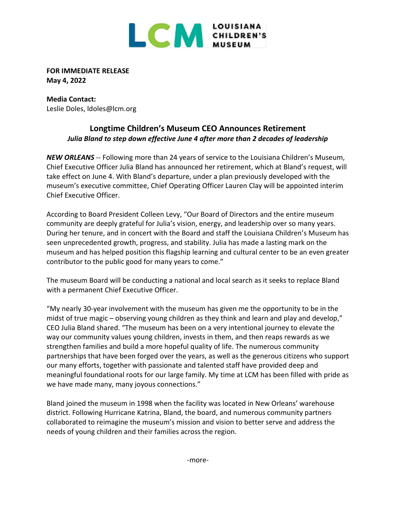

**FOR IMMEDIATE RELEASE May 4, 2022**

**Media Contact:**  Leslie Doles, ldoles@lcm.org

## **Longtime Children's Museum CEO Announces Retirement**  *Julia Bland to step down effective June 4 after more than 2 decades of leadership*

*NEW ORLEANS* -- Following more than 24 years of service to the Louisiana Children's Museum, Chief Executive Officer Julia Bland has announced her retirement, which at Bland's request, will take effect on June 4. With Bland's departure, under a plan previously developed with the museum's executive committee, Chief Operating Officer Lauren Clay will be appointed interim Chief Executive Officer.

According to Board President Colleen Levy, "Our Board of Directors and the entire museum community are deeply grateful for Julia's vision, energy, and leadership over so many years. During her tenure, and in concert with the Board and staff the Louisiana Children's Museum has seen unprecedented growth, progress, and stability. Julia has made a lasting mark on the museum and has helped position this flagship learning and cultural center to be an even greater contributor to the public good for many years to come."

The museum Board will be conducting a national and local search as it seeks to replace Bland with a permanent Chief Executive Officer.

"My nearly 30-year involvement with the museum has given me the opportunity to be in the midst of true magic – observing young children as they think and learn and play and develop," CEO Julia Bland shared. "The museum has been on a very intentional journey to elevate the way our community values young children, invests in them, and then reaps rewards as we strengthen families and build a more hopeful quality of life. The numerous community partnerships that have been forged over the years, as well as the generous citizens who support our many efforts, together with passionate and talented staff have provided deep and meaningful foundational roots for our large family. My time at LCM has been filled with pride as we have made many, many joyous connections."

Bland joined the museum in 1998 when the facility was located in New Orleans' warehouse district. Following Hurricane Katrina, Bland, the board, and numerous community partners collaborated to reimagine the museum's mission and vision to better serve and address the needs of young children and their families across the region.